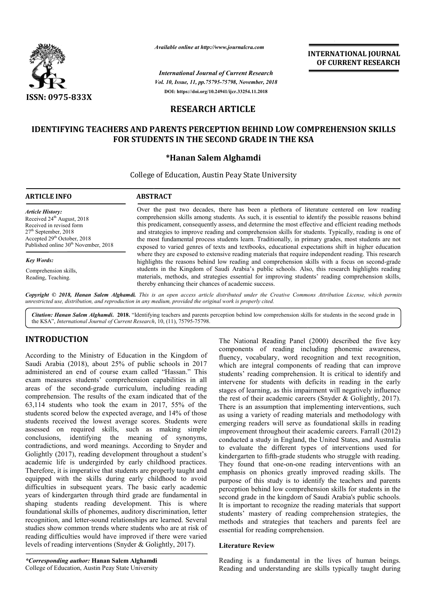

*Available online at http://www.journalcra.com*

*International Journal of Current Research Vol. 10, Issue, 11, pp.75795-75798, November, 2018* **DOI: https://doi.org/10.24941/ijcr.33254.11.2018**

**INTERNATIONAL JOURNAL OF CURRENT RESEARCH**

# **RESEARCH ARTICLE**

# **IDENTIFYING TEACHERS AND PARENTS PERCEPTION BEHIND LOW COMPREHENSION SKILLS FOR STUDENTS IN THE SECOND GRADE IN THE KSA THE KSA**

## **\*Hanan Salem Alghamdi**

College of Education, Austin Peay State University

| <b>ARTICLE INFO</b>                                                                                                                                                                                          | <b>ABSTRACT</b>                                                                                                                                                                                                                                                                                                                                                                                                                                                                                                               |
|--------------------------------------------------------------------------------------------------------------------------------------------------------------------------------------------------------------|-------------------------------------------------------------------------------------------------------------------------------------------------------------------------------------------------------------------------------------------------------------------------------------------------------------------------------------------------------------------------------------------------------------------------------------------------------------------------------------------------------------------------------|
| <b>Article History:</b><br>Received $24th$ August, 2018<br>Received in revised form<br>$27th$ September, 2018<br>Accepted 29 <sup>th</sup> October, 2018<br>Published online 30 <sup>th</sup> November, 2018 | Over the past two decades, there has been a plethora of literature centered on low reading<br>comprehension skills among students. As such, it is essential to identify the possible reasons behind<br>this predicament, consequently assess, and determine the most effective and efficient reading methods<br>and strategies to improve reading and comprehension skills for students. Typically, reading is one of<br>the most fundamental process students learn. Traditionally, in primary grades, most students are not |
|                                                                                                                                                                                                              | exposed to varied genres of texts and textbooks, educational expectations shift in higher education                                                                                                                                                                                                                                                                                                                                                                                                                           |
| <b>Key Words:</b>                                                                                                                                                                                            | where they are exposed to extensive reading materials that require independent reading. This research<br>highlights the reasons behind low reading and comprehension skills with a focus on second-grade                                                                                                                                                                                                                                                                                                                      |
| Comprehension skills.<br>Reading, Teaching.                                                                                                                                                                  | students in the Kingdom of Saudi Arabia's public schools. Also, this research highlights reading<br>materials, methods, and strategies essential for improving students' reading comprehension skills,<br>thereby enhancing their chances of academic success.                                                                                                                                                                                                                                                                |

Copyright © 2018, Hanan Salem Alghamdi. This is an open access article distributed under the Creative Commons Attribution License, which permits *unrestricted use, distribution, and reproduction in any medium, provided the original work is properly cited.*

Citation: Hanan Salem Alghamdi. 2018. "Identifying teachers and parents perception behind low comprehension skills for students in the second grade in **Citation: Hanan Salem Alghamdi. 2018.** "Identifying teachers and parents the KSA", *International Journal of Current Research*, 10, (11), 75795-75798.

## **INTRODUCTION**

According to the Ministry of Education in the Kingdom of Saudi Arabia (2018), about 25% of public schools in 2017 administered an end of course exam called "Hassan." This exam measures students' comprehension capabilities in all areas of the second-grade curriculum, including reading comprehension. The results of the exam indicated that of the 63,114 students who took the exam in 2017, 55% of the students scored below the expected average, and 14% of those students received the lowest average scores. Students were assessed on required skills, such as making simple conclusions, identifying the meaning of synonyms, contradictions, and word meanings. According to Snyder and Golightly (2017), reading development throughout a student's academic life is undergirded by early childhood practices. Therefore, it is imperative that students are properly taught and equipped with the skills during early childhood to avoid difficulties in subsequent years. The basic early academic years of kindergarten through third grade are fundamental in shaping students reading development. This is where foundational skills of phonemes, auditory discrimination, letter recognition, and letter-sound relationships are learned. studies show common trends where students who are at risk of reading difficulties would have improved if there were varied levels of reading interventions (Snyder & Golightly, 2017). ing development throughout a student's<br>ergirded by early childhood practices.<br>ive that students are properly taught and<br>cills during early childhood to avoid<br>ent years. The basic early academic<br>through third grade are fund

The National Reading Panel (2000) described the five keyset<br>
Ministry of Feducation in the Kingdom of the components of reading including phonemic awareness,<br>
Mis), about 25% of public schools in 2017 which are inedegal co components of reading including phonemic awareness, fluency, vocabulary, word recognition and text recognition, which are integral components of reading that can improve students' reading comprehension. It is critical to identify and intervene for students with deficits in reading in the early stages of learning, as this impairment will negatively influence the rest of their academic careers (Snyder & Golightly, 2017) There is an assumption that implementing interventions, such as using a variety of reading materials and methodology with emerging readers will serve as foundational skills in reading improvement throughout their academic careers. Farrall (2012) conducted a study in England, the United States, and Australia to evaluate the different types of interventions used for kindergarten to fifth-grade students who struggle with reading. They found that one-on-one reading interventions with an emphasis on phonics greatly improved reading skills. purpose of this study is to identify the teachers and parents perception behind low comprehension skills for students in the second grade in the kingdom of Saudi Arabia's public schools. It is important to recognize the reading materials that support students' mastery of reading comprehension strategies, the methods and strategies that teachers and parents feel are essential for reading comprehension. Reading Panel (2000) described the five key<br>of reading including phonemic awareness,<br>bulary, word recognition and text recognition,<br>egral components of reading that can improve eading comprehension. It is critical to identify and<br>for students with deficits in reading in the early<br>earning, as this impairment will negatively influence<br>their academic careers (Snyder & Golightly, 2017). an assumption that implementing interventions, such<br>a variety of reading materials and methodology with<br>greaders will serve as foundational skills in reading<br>ment throughout their academic careers. Farrall (2012)<br>d a study ion behind low comprehension skills for students in the grade in the kingdom of Saudi Arabia's public schools.<br>portant to recognize the reading materials that support mastery of reading comprehension strategies, the<br>and strategies that teachers and parents feel are<br>for reading comprehension.<br>**Exercise Review**<br>is a fundamental in the lives of human beings. INTERNATIONAL JOURNAL<br>
OF CURRENT RESEARCH<br>
OF CURRENT RESEARCH<br>
OF CURRENT RESEARCH<br>
The member, 2018<br>
ELE<br>
ELE<br>
ELE<br>
ELE<br>
ELE<br>
ELE<br>
ELE<br>
DEMIND LOW COMPREHENSION SKILLS<br>
Natalistic University<br>
been a plethora of literat

#### **Literature Review**

Reading is a fundamental in the lives of human being Reading and understanding are skills typically taught during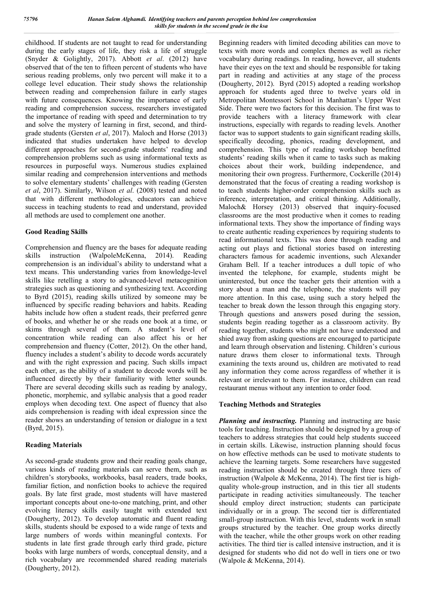childhood. If students are not taught to read for understanding during the early stages of life, they risk a life of struggle (Snyder & Golightly, 2017). Abbott *et al*. (2012) have observed that of the ten to fifteen percent of students who have serious reading problems, only two percent will make it to a college level education. Their study shows the relationship between reading and comprehension failure in early stages with future consequences. Knowing the importance of early reading and comprehension success, researchers investigated the importance of reading with speed and determination to try and solve the mystery of learning in first, second, and thirdgrade students (Gersten *et al*, 2017). Maloch and Horse (2013) indicated that studies undertaken have helped to develop different approaches for second-grade students' reading and comprehension problems such as using informational texts as resources in purposeful ways. Numerous studies explained similar reading and comprehension interventions and methods to solve elementary students' challenges with reading (Gersten *et al*, 2017). Similarly, Wilson *et al*. (2008) tested and noted that with different methodologies, educators can achieve success in teaching students to read and understand, provided all methods are used to complement one another.

#### **Good Reading Skills**

Comprehension and fluency are the bases for adequate reading skills instruction (WalpoleMcKenna, 2014). Reading comprehension is an individual's ability to understand what a text means. This understanding varies from knowledge-level skills like retelling a story to advanced-level metacognition strategies such as questioning and synthesizing text. According to Byrd (2015), reading skills utilized by someone may be influenced by specific reading behaviors and habits. Reading habits include how often a student reads, their preferred genre of books, and whether he or she reads one book at a time, or skims through several of them. A student's level of concentration while reading can also affect his or her comprehension and fluency (Cotter, 2012). On the other hand, fluency includes a student's ability to decode words accurately and with the right expression and pacing. Such skills impact each other, as the ability of a student to decode words will be influenced directly by their familiarity with letter sounds. There are several decoding skills such as reading by analogy, phonetic, morphemic, and syllabic analysis that a good reader employs when decoding text. One aspect of fluency that also aids comprehension is reading with ideal expression since the reader shows an understanding of tension or dialogue in a text (Byrd, 2015).

### **Reading Materials**

As second-grade students grow and their reading goals change, various kinds of reading materials can serve them, such as children's storybooks, workbooks, basal readers, trade books, familiar fiction, and nonfiction books to achieve the required goals. By late first grade, most students will have mastered important concepts about one-to-one matching, print, and other evolving literacy skills easily taught with extended text (Dougherty, 2012). To develop automatic and fluent reading skills, students should be exposed to a wide range of texts and large numbers of words within meaningful contexts. For students in late first grade through early third grade, picture books with large numbers of words, conceptual density, and a rich vocabulary are recommended shared reading materials (Dougherty, 2012).

Beginning readers with limited decoding abilities can move to texts with more words and complex themes as well as richer vocabulary during readings. In reading, however, all students have their eyes on the text and should be responsible for taking part in reading and activities at any stage of the process (Dougherty, 2012). Byrd (2015) adopted a reading workshop approach for students aged three to twelve years old in Metropolitan Montessori School in Manhattan's Upper West Side. There were two factors for this decision. The first was to provide teachers with a literacy framework with clear instructions, especially with regards to reading levels. Another factor was to support students to gain significant reading skills, specifically decoding, phonics, reading development, and comprehension. This type of reading workshop benefitted students' reading skills when it came to tasks such as making choices about their work, building independence, and monitoring their own progress. Furthermore, Cockerille (2014) demonstrated that the focus of creating a reading workshop is to teach students higher-order comprehension skills such as inference, interpretation, and critical thinking. Additionally, Maloch& Horsey (2013) observed that inquiry-focused classrooms are the most productive when it comes to reading informational texts. They show the importance of finding ways to create authentic reading experiences by requiring students to read informational texts. This was done through reading and acting out plays and fictional stories based on interesting characters famous for academic inventions, such Alexander Graham Bell. If a teacher introduces a dull topic of who invented the telephone, for example, students might be uninterested, but once the teacher gets their attention with a story about a man and the telephone, the students will pay more attention. In this case, using such a story helped the teacher to break down the lesson through this engaging story. Through questions and answers posed during the session, students begin reading together as a classroom activity. By reading together, students who might not have understood and shied away from asking questions are encouraged to participate and learn through observation and listening. Children's curious nature draws them closer to informational texts. Through examining the texts around us, children are motivated to read any information they come across regardless of whether it is relevant or irrelevant to them. For instance, children can read restaurant menus without any intention to order food.

#### **Teaching Methods and Strategies**

*Planning and instructing.* Planning and instructing are basic tools for teaching. Instruction should be designed by a group of teachers to address strategies that could help students succeed in certain skills. Likewise, instruction planning should focus on how effective methods can be used to motivate students to achieve the learning targets. Some researchers have suggested reading instruction should be created through three tiers of instruction (Walpole & McKenna, 2014). The first tier is highquality whole-group instruction, and in this tier all students participate in reading activities simultaneously. The teacher should employ direct instruction; students can participate individually or in a group. The second tier is differentiated small-group instruction. With this level, students work in small groups structured by the teacher. One group works directly with the teacher, while the other groups work on other reading activities. The third tier is called intensive instruction, and it is designed for students who did not do well in tiers one or two (Walpole & McKenna, 2014).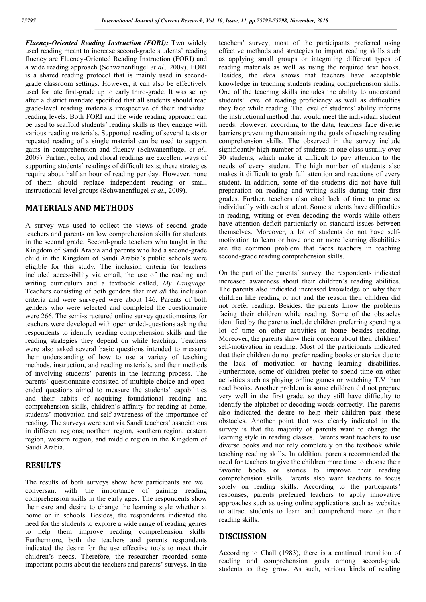*Fluency-Oriented Reading Instruction (FORI):* Two widely used reading meant to increase second-grade students' reading fluency are Fluency-Oriented Reading Instruction (FORI) and a wide reading approach (Schwanenflugel *et al.,* 2009). FORI is a shared reading protocol that is mainly used in secondgrade classroom settings. However, it can also be effectively used for late first-grade up to early third-grade. It was set up after a district mandate specified that all students should read grade-level reading materials irrespective of their individual reading levels. Both FORI and the wide reading approach can be used to scaffold students' reading skills as they engage with various reading materials. Supported reading of several texts or repeated reading of a single material can be used to support gains in comprehension and fluency (Schwanenflugel *et al*., 2009). Partner, echo, and choral readings are excellent ways of supporting students' readings of difficult texts; these strategies require about half an hour of reading per day. However, none of them should replace independent reading or small instructional-level groups (Schwanenflugel *et al*., 2009).

### **MATERIALS AND METHODS**

A survey was used to collect the views of second grade teachers and parents on low comprehension skills for students in the second grade. Second-grade teachers who taught in the Kingdom of Saudi Arabia and parents who had a second-grade child in the Kingdom of Saudi Arabia's public schools were eligible for this study. The inclusion criteria for teachers included accessibility via email, the use of the reading and writing curriculum and a textbook called, *My Language*. Teachers consisting of both genders that m*et al*l the inclusion criteria and were surveyed were about 146. Parents of both genders who were selected and completed the questionnaire were 266. The semi-structured online survey questionnaires for teachers were developed with open ended-questions asking the respondents to identify reading comprehension skills and the reading strategies they depend on while teaching. Teachers were also asked several basic questions intended to measure their understanding of how to use a variety of teaching methods, instruction, and reading materials, and their methods of involving students' parents in the learning process. The parents' questionnaire consisted of multiple-choice and openended questions aimed to measure the students' capabilities and their habits of acquiring foundational reading and comprehension skills, children's affinity for reading at home, students' motivation and self-awareness of the importance of reading. The surveys were sent via Saudi teachers' associations in different regions; northern region, southern region, eastern region, western region, and middle region in the Kingdom of Saudi Arabia.

## **RESULTS**

The results of both surveys show how participants are well conversant with the importance of gaining reading comprehension skills in the early ages. The respondents show their care and desire to change the learning style whether at home or in schools. Besides, the respondents indicated the need for the students to explore a wide range of reading genres to help them improve reading comprehension skills. Furthermore, both the teachers and parents respondents indicated the desire for the use effective tools to meet their children's needs. Therefore, the researcher recorded some important points about the teachers and parents' surveys. In the

teachers' survey, most of the participants preferred using effective methods and strategies to impart reading skills such as applying small groups or integrating different types of reading materials as well as using the required text books. Besides, the data shows that teachers have acceptable knowledge in teaching students reading comprehension skills. One of the teaching skills includes the ability to understand students' level of reading proficiency as well as difficulties they face while reading. The level of students' ability informs the instructional method that would meet the individual student needs. However, according to the data, teachers face diverse barriers preventing them attaining the goals of teaching reading comprehension skills. The observed in the survey include significantly high number of students in one class usually over 30 students, which make it difficult to pay attention to the needs of every student. The high number of students also makes it difficult to grab full attention and reactions of every student. In addition, some of the students did not have full preparation on reading and writing skills during their first grades. Further, teachers also cited lack of time to practice individually with each student. Some students have difficulties in reading, writing or even decoding the words while others have attention deficit particularly on standard issues between themselves. Moreover, a lot of students do not have selfmotivation to learn or have one or more learning disabilities are the common problem that faces teachers in teaching second-grade reading comprehension skills.

On the part of the parents' survey, the respondents indicated increased awareness about their children's reading abilities. The parents also indicated increased knowledge on why their children like reading or not and the reason their children did not prefer reading. Besides, the parents know the problems facing their children while reading. Some of the obstacles identified by the parents include children preferring spending a lot of time on other activities at home besides reading. Moreover, the parents show their concern about their children' self-motivation in reading. Most of the participants indicated that their children do not prefer reading books or stories due to the lack of motivation or having learning disabilities. Furthermore, some of children prefer to spend time on other activities such as playing online games or watching T.V than read books. Another problem is some children did not prepare very well in the first grade, so they still have difficulty to identify the alphabet or decoding words correctly. The parents also indicated the desire to help their children pass these obstacles. Another point that was clearly indicated in the survey is that the majority of parents want to change the learning style in reading classes. Parents want teachers to use diverse books and not rely completely on the textbook while teaching reading skills. In addition, parents recommended the need for teachers to give the children more time to choose their favorite books or stories to improve their reading comprehension skills. Parents also want teachers to focus solely on reading skills. According to the participants' responses, parents preferred teachers to apply innovative approaches such as using online applications such as websites to attract students to learn and comprehend more on their reading skills.

#### **DISCUSSION**

According to Chall (1983), there is a continual transition of reading and comprehension goals among second-grade students as they grow. As such, various kinds of reading